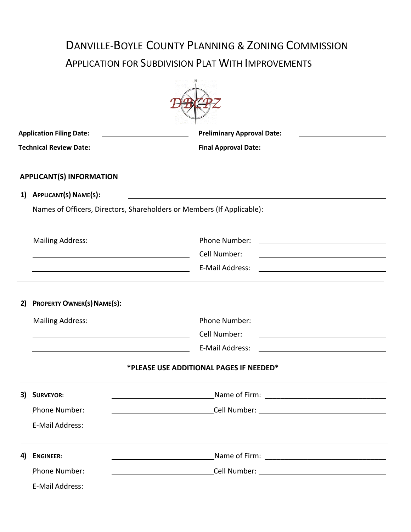# DANVILLE-BOYLE COUNTY PLANNING & ZONING COMMISSION APPLICATION FOR SUBDIVISION PLAT WITH IMPROVEMENTS

| <b>Application Filing Date:</b><br><b>Technical Review Date:</b> |                                                                                                                        | <b>Preliminary Approval Date:</b>                                                                                                           |  |  |
|------------------------------------------------------------------|------------------------------------------------------------------------------------------------------------------------|---------------------------------------------------------------------------------------------------------------------------------------------|--|--|
|                                                                  |                                                                                                                        | <b>Final Approval Date:</b>                                                                                                                 |  |  |
|                                                                  | <b>APPLICANT(S) INFORMATION</b>                                                                                        |                                                                                                                                             |  |  |
| 1)                                                               | APPLICANT(S) NAME(S):                                                                                                  |                                                                                                                                             |  |  |
|                                                                  | Names of Officers, Directors, Shareholders or Members (If Applicable):                                                 |                                                                                                                                             |  |  |
|                                                                  | <b>Mailing Address:</b>                                                                                                | Phone Number:<br><u> 1989 - Andrea Stadt Britain, amerikansk politiker (</u>                                                                |  |  |
|                                                                  | <u> 1989 - Johann Barn, mars ann an t-Amhain Aonaich an t-Aonaich an t-Aonaich ann an t-Aonaich ann an t-Aonaich</u>   | Cell Number:                                                                                                                                |  |  |
|                                                                  |                                                                                                                        | E-Mail Address:                                                                                                                             |  |  |
| 2)                                                               |                                                                                                                        |                                                                                                                                             |  |  |
|                                                                  | <b>Mailing Address:</b>                                                                                                | Phone Number:<br><u>and the contract of the contract of the contract of the contract of the contract of the contract of the contract of</u> |  |  |
|                                                                  | <u> 1989 - Johann Stoff, deutscher Stoffen und der Stoffen und der Stoffen und der Stoffen und der Stoffen und der</u> | Cell Number:                                                                                                                                |  |  |
|                                                                  | <u> 1980 - Jan Samuel Barbara, político establecera e a seu altra de la propia de la propia de la propia de la p</u>   | E-Mail Address:                                                                                                                             |  |  |
|                                                                  |                                                                                                                        | *PLEASE USE ADDITIONAL PAGES IF NEEDED*                                                                                                     |  |  |
| 3)                                                               | <b>SURVEYOR:</b>                                                                                                       |                                                                                                                                             |  |  |
|                                                                  | Phone Number:                                                                                                          |                                                                                                                                             |  |  |
|                                                                  | E-Mail Address:                                                                                                        |                                                                                                                                             |  |  |
| 4)                                                               | <b>ENGINEER:</b>                                                                                                       |                                                                                                                                             |  |  |
|                                                                  | Phone Number:                                                                                                          |                                                                                                                                             |  |  |
|                                                                  | E-Mail Address:                                                                                                        |                                                                                                                                             |  |  |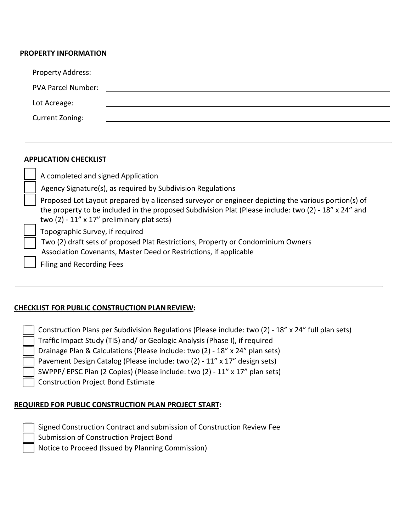#### **PROPERTY INFORMATION**

| Property Address:         |                                                                                                                       |
|---------------------------|-----------------------------------------------------------------------------------------------------------------------|
| <b>PVA Parcel Number:</b> | <u> 1980 - Andrea Aontaithe ann an t-Aontaithe ann an t-Aontaithe ann an t-Aontaithe ann an t-Aontaithe ann an t-</u> |
| Lot Acreage:              |                                                                                                                       |
| Current Zoning:           |                                                                                                                       |
|                           |                                                                                                                       |

#### **APPLICATION CHECKLIST**

| A completed and signed Application                                                                                                                                                                                                                                  |
|---------------------------------------------------------------------------------------------------------------------------------------------------------------------------------------------------------------------------------------------------------------------|
| Agency Signature(s), as required by Subdivision Regulations                                                                                                                                                                                                         |
| Proposed Lot Layout prepared by a licensed surveyor or engineer depicting the various portion(s) of<br>the property to be included in the proposed Subdivision Plat (Please include: two (2) - 18" x 24" and<br>two $(2) - 11'' \times 17''$ preliminary plat sets) |
| Topographic Survey, if required<br>Two (2) draft sets of proposed Plat Restrictions, Property or Condominium Owners<br>Association Covenants, Master Deed or Restrictions, if applicable<br>Filing and Recording Fees                                               |

## **CHECKLIST FOR PUBLIC CONSTRUCTION PLANREVIEW:**

 Construction Plans per Subdivision Regulations (Please include: two (2) - 18" x 24" full plan sets) Traffic Impact Study (TIS) and/ or Geologic Analysis (Phase I), if required Drainage Plan & Calculations (Please include: two (2) - 18" x 24" plan sets) Pavement Design Catalog (Please include: two (2) - 11" x 17" design sets) SWPPP/ EPSC Plan (2 Copies) (Please include: two (2) - 11" x 17" plan sets) Construction Project Bond Estimate

## **REQUIRED FOR PUBLIC CONSTRUCTION PLAN PROJECT START:**

| Signed Construction Contract and submission of Construction Review Fee |  |  |
|------------------------------------------------------------------------|--|--|
|                                                                        |  |  |

Submission of Construction Project Bond

Notice to Proceed (Issued by Planning Commission)